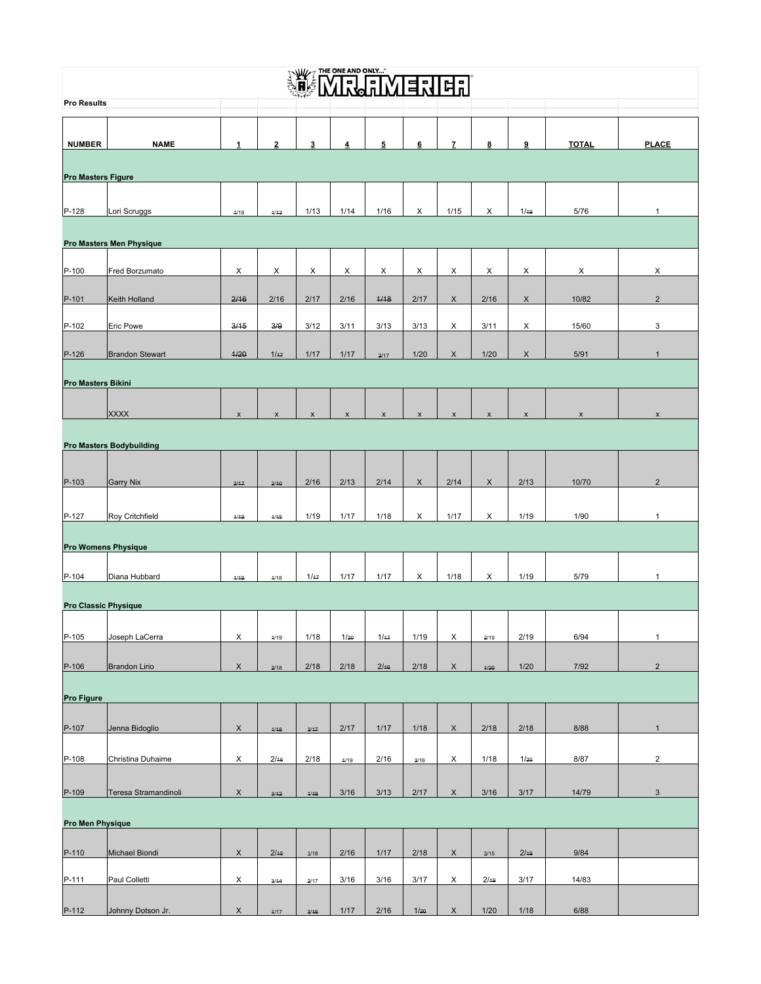## NE MILINENHE

| $\frac{1}{2}$ of the contraction of $\frac{1}{2}$<br>ᆈ⊔<br><b>Pro Results</b> |                            |                    |                           |                    |                           |                |                    |                    |                |                           |              |                           |
|-------------------------------------------------------------------------------|----------------------------|--------------------|---------------------------|--------------------|---------------------------|----------------|--------------------|--------------------|----------------|---------------------------|--------------|---------------------------|
|                                                                               |                            |                    |                           |                    |                           |                |                    |                    |                |                           |              |                           |
|                                                                               |                            |                    |                           |                    |                           |                |                    |                    |                |                           |              |                           |
| <b>NUMBER</b>                                                                 | <b>NAME</b>                |                    | $\overline{2}$            | 3                  | 4                         | 5              | 6                  | $\overline{7}$     | 8              | 9                         | <b>TOTAL</b> | <b>PLACE</b>              |
|                                                                               |                            |                    |                           |                    |                           |                |                    |                    |                |                           |              |                           |
| <b>Pro Masters Figure</b>                                                     |                            |                    |                           |                    |                           |                |                    |                    |                |                           |              |                           |
|                                                                               |                            |                    |                           |                    |                           |                |                    |                    |                |                           |              |                           |
| $P-128$                                                                       | Lori Scruggs               | 4/18               | 4/43                      | 1/13               | 1/14                      | 1/16           | X                  | 1/15               | X              | 1/19                      | 5/76         | 1                         |
|                                                                               |                            |                    |                           |                    |                           |                |                    |                    |                |                           |              |                           |
|                                                                               | Pro Masters Men Physique   |                    |                           |                    |                           |                |                    |                    |                |                           |              |                           |
| $P-100$                                                                       | Fred Borzumato             | X                  | X                         | X                  | X                         | X              | X                  | X                  | X              | X                         | Х            | X                         |
|                                                                               |                            |                    |                           |                    |                           |                |                    |                    |                |                           |              |                           |
| $P-101$                                                                       | Keith Holland              | 2/16               | 2/16                      | 2/17               | 2/16                      | 4/18           | 2/17               | X                  | 2/16           | $\boldsymbol{\mathsf{X}}$ | 10/82        | $\overline{2}$            |
| P-102                                                                         | Eric Powe                  | 3/15               | 3/9                       | 3/12               | 3/11                      | 3/13           | 3/13               | X                  | 3/11           | X                         | 15/60        | $\ensuremath{\mathsf{3}}$ |
|                                                                               |                            |                    |                           |                    |                           |                |                    |                    |                |                           |              |                           |
| $P-126$                                                                       | <b>Brandon Stewart</b>     | 4/20               | 1/47                      | 1/17               | 1/17                      | 2/17           | 1/20               | X                  | 1/20           | $\boldsymbol{\mathsf{X}}$ | 5/91         | $\mathbf{1}$              |
|                                                                               |                            |                    |                           |                    |                           |                |                    |                    |                |                           |              |                           |
| <b>Pro Masters Bikini</b>                                                     |                            |                    |                           |                    |                           |                |                    |                    |                |                           |              |                           |
|                                                                               | <b>XXXX</b>                |                    |                           |                    |                           |                |                    |                    |                |                           |              |                           |
|                                                                               |                            | $\pmb{\mathsf{x}}$ | $\boldsymbol{\mathsf{x}}$ | $\pmb{\mathsf{x}}$ | $\boldsymbol{\mathsf{x}}$ | $\pmb{\times}$ | $\pmb{\mathsf{x}}$ | $\pmb{\mathsf{x}}$ | $\pmb{\times}$ | $\pmb{\times}$            | X            | $\pmb{\mathsf{x}}$        |
| <b>Pro Masters Bodybuilding</b>                                               |                            |                    |                           |                    |                           |                |                    |                    |                |                           |              |                           |
|                                                                               |                            |                    |                           |                    |                           |                |                    |                    |                |                           |              |                           |
| $P-103$                                                                       | <b>Garry Nix</b>           | 2/47               | 2/10                      | 2/16               | 2/13                      | 2/14           | $\mathsf X$        | 2/14               | $\mathsf X$    | 2/13                      | 10/70        | $\sqrt{2}$                |
|                                                                               |                            |                    |                           |                    |                           |                |                    |                    |                |                           |              |                           |
| $P-127$                                                                       | Roy Critchfield            | 4/49               | 4/45                      | 1/19               | 1/17                      | 1/18           | X                  | 1/17               | X              | 1/19                      | 1/90         | 1                         |
|                                                                               |                            |                    |                           |                    |                           |                |                    |                    |                |                           |              |                           |
|                                                                               | <b>Pro Womens Physique</b> |                    |                           |                    |                           |                |                    |                    |                |                           |              |                           |
|                                                                               |                            |                    |                           |                    |                           |                |                    |                    |                |                           |              |                           |
| $P-104$                                                                       | Diana Hubbard              | 4/49               | 4/18                      | 1/47               | 1/17                      | 1/17           | X                  | 1/18               | X              | 1/19                      | 5/79         | 1                         |
| <b>Pro Classic Physique</b>                                                   |                            |                    |                           |                    |                           |                |                    |                    |                |                           |              |                           |
|                                                                               |                            |                    |                           |                    |                           |                |                    |                    |                |                           |              |                           |
| P-105                                                                         | Joseph LaCerra             | X                  | 4/19                      | 1/18               | 1/20                      | 1/47           | 1/19               | X                  | 2/19           | 2/19                      | 6/94         | 1                         |
|                                                                               |                            |                    |                           |                    |                           |                |                    |                    |                |                           |              |                           |
| P-106                                                                         | Brandon Lirio              | X                  | 2/18                      | 2/18               | 2/18                      | 2/16           | 2/18               | X                  | 4/20           | 1/20                      | 7/92         | $\overline{2}$            |
|                                                                               |                            |                    |                           |                    |                           |                |                    |                    |                |                           |              |                           |
| <b>Pro Figure</b>                                                             |                            |                    |                           |                    |                           |                |                    |                    |                |                           |              |                           |
| P-107                                                                         | Jenna Bidoglio             | $\mathsf{X}$       | 4/48                      | 3/47               | 2/17                      | 1/17           | 1/18               | X                  | 2/18           | 2/18                      | 8/88         | $\mathbf{1}$              |
|                                                                               |                            |                    |                           |                    |                           |                |                    |                    |                |                           |              |                           |
| P-108                                                                         | Christina Duhaime          | X                  | 2/16                      | 2/18               | 4/19                      | 2/16           | 3/16               | X                  | 1/18           | 1/20                      | 8/87         | $\overline{2}$            |
|                                                                               |                            |                    |                           |                    |                           |                |                    |                    |                |                           |              |                           |
| P-109                                                                         | Teresa Stramandinoli       | X                  | 3/12                      | 4/18               | 3/16                      | 3/13           | 2/17               | X                  | 3/16           | 3/17                      | 14/79        | $\mathbf{3}$              |
|                                                                               |                            |                    |                           |                    |                           |                |                    |                    |                |                           |              |                           |
| <b>Pro Men Physique</b>                                                       |                            |                    |                           |                    |                           |                |                    |                    |                |                           |              |                           |
|                                                                               |                            |                    |                           |                    |                           |                |                    |                    |                |                           |              |                           |
| P-110                                                                         | Michael Biondi             | X                  | 2/15                      | 4/18               | 2/16                      | 1/17           | 2/18               | $\mathsf X$        | 3/15           | 2/10                      | 9/84         |                           |
| P-111                                                                         | Paul Colletti              | X                  | 3/14                      | 2/17               | 3/16                      | 3/16           | 3/17               | X                  | 2/10           | 3/17                      | 14/83        |                           |
|                                                                               |                            |                    |                           |                    |                           |                |                    |                    |                |                           |              |                           |
| D 112                                                                         | Johnny Dotson In           |                    |                           |                    | 1/17                      | 2/16           | $1/\gamma$         |                    | 1/20           | 1/19                      | G/99         |                           |